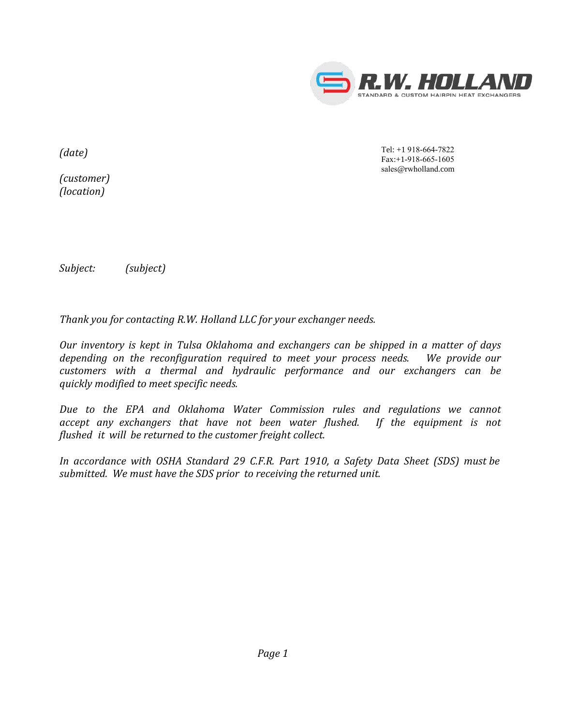

*(date)*

*(customer) (location)*

Tel: +1 918-664-7822 Fax:+1-918-665-1605 sales@rwholland.com

*Subject: (subject)*

*Thank you for contacting R.W. Holland LLC for your exchanger needs.* 

*Our inventory is kept in Tulsa Oklahoma and exchangers can be shipped in a matter of days depending on the reconfiguration required to meet your process needs. We provide our customers with a thermal and hydraulic performance and our exchangers can be quickly modified to meet specific needs.*

*Due to the EPA and Oklahoma Water Commission rules and regulations we cannot accept any exchangers that have not been water flushed. If the equipment is not flushed it will be returned to the customer freight collect.*

*In accordance with OSHA Standard 29 C.F.R. Part 1910, a Safety Data Sheet (SDS) must be submitted. We must have the SDS prior to receiving the returned unit.*